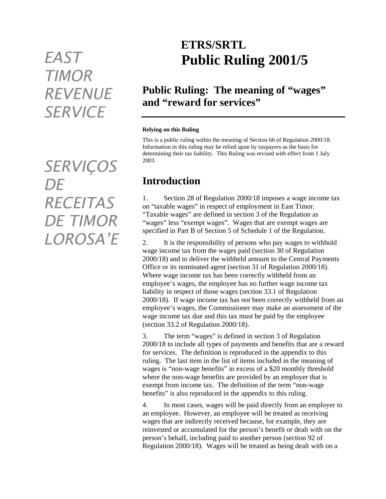# *TIMOR REVENUE SERVICE*

*SERVIÇOS DE RECEITAS DE TIMOR LOROSA'E* 

## **ETRS/SRTL** *EAST* **Public Ruling 2001/5**

#### **Public Ruling: The meaning of "wages" and "reward for services"**

#### **Relying on this Ruling**

This is a public ruling within the meaning of Section 66 of Regulation 2000/18. Information in this ruling may be relied upon by taxpayers as the basis for determining their tax liability. This Ruling was revised with effect from 1 July 2003.

#### **Introduction**

1. Section 28 of Regulation 2000/18 imposes a wage income tax on "taxable wages" in respect of employment in East Timor. "Taxable wages" are defined in section 3 of the Regulation as "wages" less "exempt wages". Wages that are exempt wages are specified in Part B of Section 5 of Schedule 1 of the Regulation.

2. It is the responsibility of persons who pay wages to withhold wage income tax from the wages paid (section 30 of Regulation 2000/18) and to deliver the withheld amount to the Central Payments Office or its nominated agent (section 31 of Regulation 2000/18). Where wage income tax has been correctly withheld from an employee's wages, the employee has no further wage income tax liability in respect of those wages (section 33.1 of Regulation 2000/18). If wage income tax has *not* been correctly withheld from an employee's wages, the Commissioner may make an assessment of the wage income tax due and this tax must be paid by the employee (section 33.2 of Regulation 2000/18).

3. The term "wages" is defined in section 3 of Regulation 2000/18 to include all types of payments and benefits that are a reward for services. The definition is reproduced in the appendix to this ruling. The last item in the list of items included in the meaning of wages is "non-wage benefits" in excess of a \$20 monthly threshold where the non-wage benefits are provided by an employer that is exempt from income tax. The definition of the term "non-wage benefits" is also reproduced in the appendix to this ruling.

4. In most cases, wages will be paid directly from an employer to an employee. However, an employee will be treated as receiving wages that are indirectly received because, for example, they are reinvested or accumulated for the person's benefit or dealt with on the person's behalf, including paid to another person (section 92 of Regulation 2000/18). Wages will be treated as being dealt with on a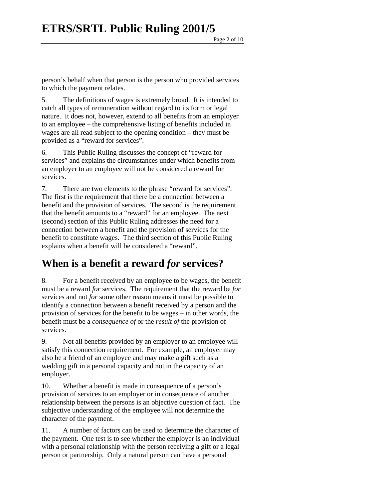person's behalf when that person is the person who provided services to which the payment relates.

5. The definitions of wages is extremely broad. It is intended to catch all types of remuneration without regard to its form or legal nature. It does not, however, extend to all benefits from an employer to an employee – the comprehensive listing of benefits included in wages are all read subject to the opening condition – they must be provided as a "reward for services".

6. This Public Ruling discusses the concept of "reward for services" and explains the circumstances under which benefits from an employer to an employee will not be considered a reward for services.

7. There are two elements to the phrase "reward for services". The first is the requirement that there be a connection between a benefit and the provision of services. The second is the requirement that the benefit amounts to a "reward" for an employee. The next (second) section of this Public Ruling addresses the need for a connection between a benefit and the provision of services for the benefit to constitute wages. The third section of this Public Ruling explains when a benefit will be considered a "reward".

#### **When is a benefit a reward** *for* **services?**

8. For a benefit received by an employee to be wages, the benefit must be a reward *for* services. The requirement that the reward be *for*  services and not *for* some other reason means it must be possible to identify a connection between a benefit received by a person and the provision of services for the benefit to be wages – in other words, the benefit must be a *consequence of* or the *result of* the provision of services.

9. Not all benefits provided by an employer to an employee will satisfy this connection requirement. For example, an employer may also be a friend of an employee and may make a gift such as a wedding gift in a personal capacity and not in the capacity of an employer.

10. Whether a benefit is made in consequence of a person's provision of services to an employer or in consequence of another relationship between the persons is an objective question of fact. The subjective understanding of the employee will not determine the character of the payment.

11. A number of factors can be used to determine the character of the payment. One test is to see whether the employer is an individual with a personal relationship with the person receiving a gift or a legal person or partnership. Only a natural person can have a personal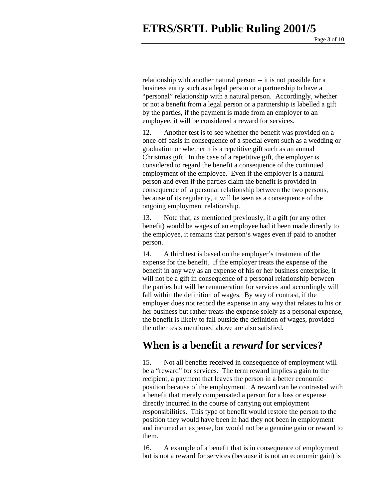relationship with another natural person -- it is not possible for a business entity such as a legal person or a partnership to have a "personal" relationship with a natural person. Accordingly, whether or not a benefit from a legal person or a partnership is labelled a gift by the parties, if the payment is made from an employer to an employee, it will be considered a reward for services.

12. Another test is to see whether the benefit was provided on a once-off basis in consequence of a special event such as a wedding or graduation or whether it is a repetitive gift such as an annual Christmas gift. In the case of a repetitive gift, the employer is considered to regard the benefit a consequence of the continued employment of the employee. Even if the employer is a natural person and even if the parties claim the benefit is provided in consequence of a personal relationship between the two persons, because of its regularity, it will be seen as a consequence of the ongoing employment relationship.

13. Note that, as mentioned previously, if a gift (or any other benefit) would be wages of an employee had it been made directly to the employee, it remains that person's wages even if paid to another person.

14. A third test is based on the employer's treatment of the expense for the benefit. If the employer treats the expense of the benefit in any way as an expense of his or her business enterprise, it will not be a gift in consequence of a personal relationship between the parties but will be remuneration for services and accordingly will fall within the definition of wages. By way of contrast, if the employer does not record the expense in any way that relates to his or her business but rather treats the expense solely as a personal expense, the benefit is likely to fall outside the definition of wages, provided the other tests mentioned above are also satisfied.

#### **When is a benefit a** *reward* **for services?**

15. Not all benefits received in consequence of employment will be a "reward" for services. The term reward implies a gain to the recipient, a payment that leaves the person in a better economic position because of the employment. A reward can be contrasted with a benefit that merely compensated a person for a loss or expense directly incurred in the course of carrying out employment responsibilities. This type of benefit would restore the person to the position they would have been in had they not been in employment and incurred an expense, but would not be a genuine gain or reward to them.

16. A example of a benefit that is in consequence of employment but is not a reward for services (because it is not an economic gain) is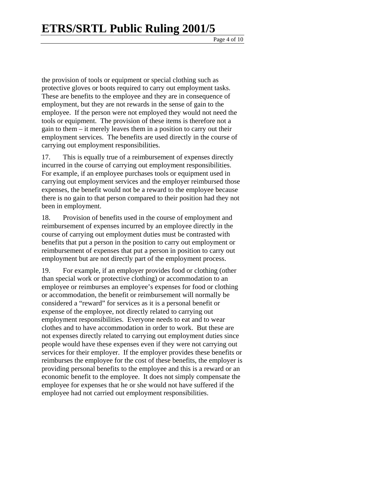the provision of tools or equipment or special clothing such as protective gloves or boots required to carry out employment tasks. These are benefits to the employee and they are in consequence of employment, but they are not rewards in the sense of gain to the employee. If the person were not employed they would not need the tools or equipment. The provision of these items is therefore not a gain to them – it merely leaves them in a position to carry out their employment services. The benefits are used directly in the course of carrying out employment responsibilities.

17. This is equally true of a reimbursement of expenses directly incurred in the course of carrying out employment responsibilities. For example, if an employee purchases tools or equipment used in carrying out employment services and the employer reimbursed those expenses, the benefit would not be a reward to the employee because there is no gain to that person compared to their position had they not been in employment.

18. Provision of benefits used in the course of employment and reimbursement of expenses incurred by an employee directly in the course of carrying out employment duties must be contrasted with benefits that put a person in the position to carry out employment or reimbursement of expenses that put a person in position to carry out employment but are not directly part of the employment process.

19. For example, if an employer provides food or clothing (other than special work or protective clothing) or accommodation to an employee or reimburses an employee's expenses for food or clothing or accommodation, the benefit or reimbursement will normally be considered a "reward" for services as it is a personal benefit or expense of the employee, not directly related to carrying out employment responsibilities. Everyone needs to eat and to wear clothes and to have accommodation in order to work. But these are not expenses directly related to carrying out employment duties since people would have these expenses even if they were not carrying out services for their employer. If the employer provides these benefits or reimburses the employee for the cost of these benefits, the employer is providing personal benefits to the employee and this is a reward or an economic benefit to the employee. It does not simply compensate the employee for expenses that he or she would not have suffered if the employee had not carried out employment responsibilities.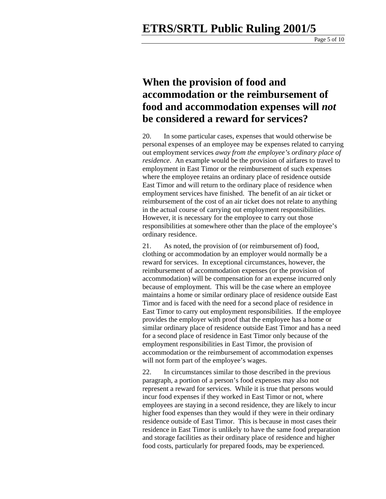Page 5 of 10

#### **When the provision of food and accommodation or the reimbursement of food and accommodation expenses will** *not*  **be considered a reward for services?**

20. In some particular cases, expenses that would otherwise be personal expenses of an employee may be expenses related to carrying out employment services *away from the employee's ordinary place of residence*. An example would be the provision of airfares to travel to employment in East Timor or the reimbursement of such expenses where the employee retains an ordinary place of residence outside East Timor and will return to the ordinary place of residence when employment services have finished. The benefit of an air ticket or reimbursement of the cost of an air ticket does not relate to anything in the actual course of carrying out employment responsibilities. However, it is necessary for the employee to carry out those responsibilities at somewhere other than the place of the employee's ordinary residence.

21. As noted, the provision of (or reimbursement of) food, clothing or accommodation by an employer would normally be a reward for services. In exceptional circumstances, however, the reimbursement of accommodation expenses (or the provision of accommodation) will be compensation for an expense incurred only because of employment. This will be the case where an employee maintains a home or similar ordinary place of residence outside East Timor and is faced with the need for a second place of residence in East Timor to carry out employment responsibilities. If the employee provides the employer with proof that the employee has a home or similar ordinary place of residence outside East Timor and has a need for a second place of residence in East Timor only because of the employment responsibilities in East Timor, the provision of accommodation or the reimbursement of accommodation expenses will not form part of the employee's wages.

22. In circumstances similar to those described in the previous paragraph, a portion of a person's food expenses may also not represent a reward for services. While it is true that persons would incur food expenses if they worked in East Timor or not, where employees are staying in a second residence, they are likely to incur higher food expenses than they would if they were in their ordinary residence outside of East Timor. This is because in most cases their residence in East Timor is unlikely to have the same food preparation and storage facilities as their ordinary place of residence and higher food costs, particularly for prepared foods, may be experienced.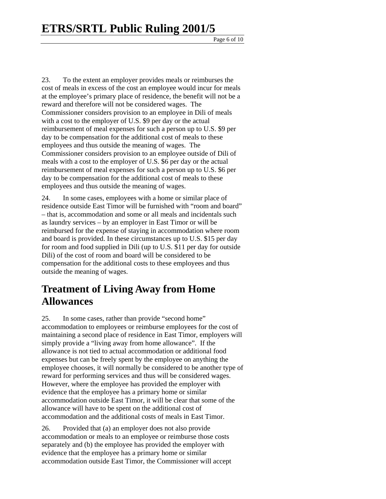Page 6 of 10

23. To the extent an employer provides meals or reimburses the cost of meals in excess of the cost an employee would incur for meals at the employee's primary place of residence, the benefit will not be a reward and therefore will not be considered wages. The Commissioner considers provision to an employee in Dili of meals with a cost to the employer of U.S. \$9 per day or the actual reimbursement of meal expenses for such a person up to U.S. \$9 per day to be compensation for the additional cost of meals to these employees and thus outside the meaning of wages. The Commissioner considers provision to an employee outside of Dili of meals with a cost to the employer of U.S. \$6 per day or the actual reimbursement of meal expenses for such a person up to U.S. \$6 per day to be compensation for the additional cost of meals to these employees and thus outside the meaning of wages.

24. In some cases, employees with a home or similar place of residence outside East Timor will be furnished with "room and board" – that is, accommodation and some or all meals and incidentals such as laundry services – by an employer in East Timor or will be reimbursed for the expense of staying in accommodation where room and board is provided. In these circumstances up to U.S. \$15 per day for room and food supplied in Dili (up to U.S. \$11 per day for outside Dili) of the cost of room and board will be considered to be compensation for the additional costs to these employees and thus outside the meaning of wages.

#### **Treatment of Living Away from Home Allowances**

25. In some cases, rather than provide "second home" accommodation to employees or reimburse employees for the cost of maintaining a second place of residence in East Timor, employers will simply provide a "living away from home allowance". If the allowance is not tied to actual accommodation or additional food expenses but can be freely spent by the employee on anything the employee chooses, it will normally be considered to be another type of reward for performing services and thus will be considered wages. However, where the employee has provided the employer with evidence that the employee has a primary home or similar accommodation outside East Timor, it will be clear that some of the allowance will have to be spent on the additional cost of accommodation and the additional costs of meals in East Timor.

26. Provided that (a) an employer does not also provide accommodation or meals to an employee or reimburse those costs separately and (b) the employee has provided the employer with evidence that the employee has a primary home or similar accommodation outside East Timor, the Commissioner will accept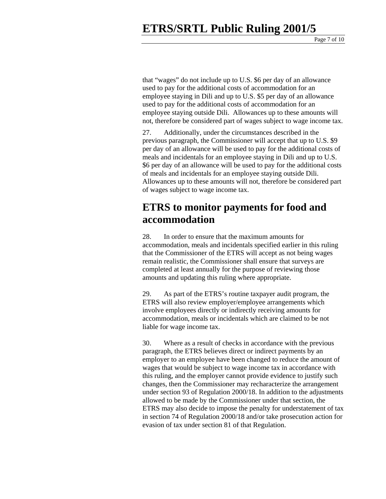that "wages" do not include up to U.S. \$6 per day of an allowance used to pay for the additional costs of accommodation for an employee staying in Dili and up to U.S. \$5 per day of an allowance used to pay for the additional costs of accommodation for an employee staying outside Dili. Allowances up to these amounts will not, therefore be considered part of wages subject to wage income tax.

27. Additionally, under the circumstances described in the previous paragraph, the Commissioner will accept that up to U.S. \$9 per day of an allowance will be used to pay for the additional costs of meals and incidentals for an employee staying in Dili and up to U.S. \$6 per day of an allowance will be used to pay for the additional costs of meals and incidentals for an employee staying outside Dili. Allowances up to these amounts will not, therefore be considered part of wages subject to wage income tax.

#### **ETRS to monitor payments for food and accommodation**

28. In order to ensure that the maximum amounts for accommodation, meals and incidentals specified earlier in this ruling that the Commissioner of the ETRS will accept as not being wages remain realistic, the Commissioner shall ensure that surveys are completed at least annually for the purpose of reviewing those amounts and updating this ruling where appropriate.

29. As part of the ETRS's routine taxpayer audit program, the ETRS will also review employer/employee arrangements which involve employees directly or indirectly receiving amounts for accommodation, meals or incidentals which are claimed to be not liable for wage income tax.

30. Where as a result of checks in accordance with the previous paragraph, the ETRS believes direct or indirect payments by an employer to an employee have been changed to reduce the amount of wages that would be subject to wage income tax in accordance with this ruling, and the employer cannot provide evidence to justify such changes, then the Commissioner may recharacterize the arrangement under section 93 of Regulation 2000/18. In addition to the adjustments allowed to be made by the Commissioner under that section, the ETRS may also decide to impose the penalty for understatement of tax in section 74 of Regulation 2000/18 and/or take prosecution action for evasion of tax under section 81 of that Regulation.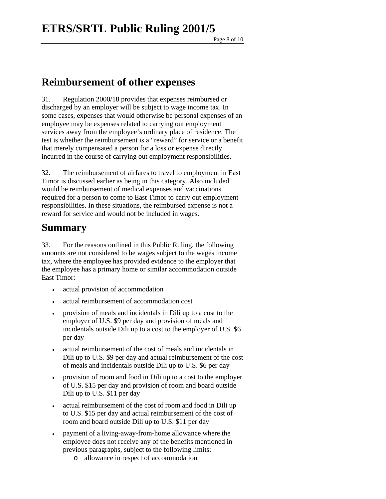Page 8 of 10

#### **Reimbursement of other expenses**

31. Regulation 2000/18 provides that expenses reimbursed or discharged by an employer will be subject to wage income tax. In some cases, expenses that would otherwise be personal expenses of an employee may be expenses related to carrying out employment services away from the employee's ordinary place of residence. The test is whether the reimbursement is a "reward" for service or a benefit that merely compensated a person for a loss or expense directly incurred in the course of carrying out employment responsibilities.

32. The reimbursement of airfares to travel to employment in East Timor is discussed earlier as being in this category. Also included would be reimbursement of medical expenses and vaccinations required for a person to come to East Timor to carry out employment responsibilities. In these situations, the reimbursed expense is not a reward for service and would not be included in wages.

#### **Summary**

33. For the reasons outlined in this Public Ruling, the following amounts are not considered to be wages subject to the wages income tax, where the employee has provided evidence to the employer that the employee has a primary home or similar accommodation outside East Timor:

- actual provision of accommodation
- actual reimbursement of accommodation cost
- provision of meals and incidentals in Dili up to a cost to the employer of U.S. \$9 per day and provision of meals and incidentals outside Dili up to a cost to the employer of U.S. \$6 per day
- actual reimbursement of the cost of meals and incidentals in Dili up to U.S. \$9 per day and actual reimbursement of the cost of meals and incidentals outside Dili up to U.S. \$6 per day
- provision of room and food in Dili up to a cost to the employer of U.S. \$15 per day and provision of room and board outside Dili up to U.S. \$11 per day
- actual reimbursement of the cost of room and food in Dili up to U.S. \$15 per day and actual reimbursement of the cost of room and board outside Dili up to U.S. \$11 per day
- payment of a living-away-from-home allowance where the employee does not receive any of the benefits mentioned in previous paragraphs, subject to the following limits:
	- o allowance in respect of accommodation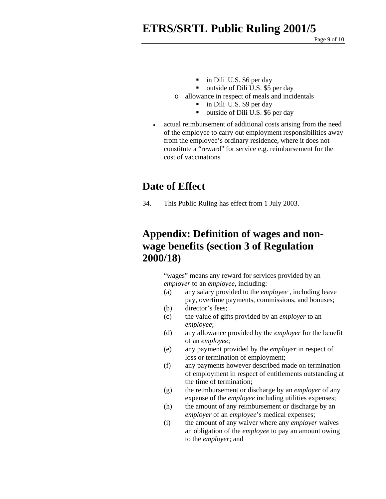### **ETRS/SRTL Public Ruling 2001/5**

Page 9 of 10

- in Dili U.S. \$6 per day
- outside of Dili U.S. \$5 per day
- o allowance in respect of meals and incidentals
	- in Dili U.S. \$9 per day
	- outside of Dili U.S. \$6 per day
- actual reimbursement of additional costs arising from the need of the employee to carry out employment responsibilities away from the employee's ordinary residence, where it does not constitute a "reward" for service e.g. reimbursement for the cost of vaccinations

#### **Date of Effect**

34. This Public Ruling has effect from 1 July 2003.

#### **Appendix: Definition of wages and nonwage benefits (section 3 of Regulation 2000/18)**

"wages" means any reward for services provided by an *employer* to an *employee*, including:

- (a) any salary provided to the *employee* , including leave pay, overtime payments, commissions, and bonuses;
- (b) director's fees;
- (c) the value of gifts provided by an *employer* to an *employee*;
- (d) any allowance provided by the *employer* for the benefit of an *employee*;
- (e) any payment provided by the *employer* in respect of loss or termination of employment;
- (f) any payments however described made on termination of employment in respect of entitlements outstanding at the time of termination;
- (g) the reimbursement or discharge by an *employer* of any expense of the *employee* including utilities expenses;
- (h) the amount of any reimbursement or discharge by an *employer* of an *employee*'s medical expenses;
- (i) the amount of any waiver where any *employer* waives an obligation of the *employee* to pay an amount owing to the *employer*; and